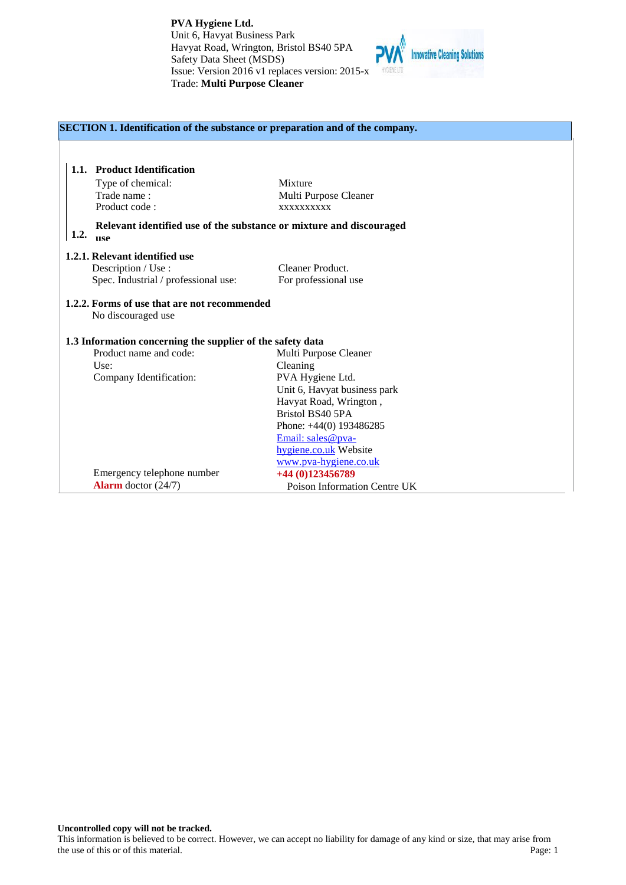

| SECTION 1. Identification of the substance or preparation and of the company. |                                                                                   |                              |
|-------------------------------------------------------------------------------|-----------------------------------------------------------------------------------|------------------------------|
|                                                                               |                                                                                   |                              |
|                                                                               | 1.1. Product Identification                                                       |                              |
|                                                                               |                                                                                   | Mixture                      |
|                                                                               | Type of chemical:                                                                 |                              |
|                                                                               | Trade name:                                                                       | Multi Purpose Cleaner        |
|                                                                               | Product code:                                                                     | XXXXXXXXXX                   |
| 1.2.                                                                          | Relevant identified use of the substance or mixture and discouraged<br><b>HSe</b> |                              |
|                                                                               | 1.2.1. Relevant identified use                                                    |                              |
|                                                                               | Description / Use :                                                               | Cleaner Product.             |
|                                                                               | Spec. Industrial / professional use:                                              | For professional use         |
|                                                                               | 1.2.2. Forms of use that are not recommended                                      |                              |
|                                                                               | No discouraged use                                                                |                              |
|                                                                               | 1.3 Information concerning the supplier of the safety data                        |                              |
|                                                                               | Product name and code:                                                            | Multi Purpose Cleaner        |
|                                                                               | Use:                                                                              | Cleaning                     |
|                                                                               | Company Identification:                                                           | PVA Hygiene Ltd.             |
|                                                                               |                                                                                   | Unit 6, Havyat business park |
|                                                                               |                                                                                   | Havyat Road, Wrington,       |
|                                                                               |                                                                                   | Bristol BS40 5PA             |
|                                                                               |                                                                                   | Phone: $+44(0)$ 193486285    |
|                                                                               |                                                                                   | Email: sales@pva-            |
|                                                                               |                                                                                   | hygiene.co.uk Website        |
|                                                                               |                                                                                   | www.pva-hygiene.co.uk        |
|                                                                               | Emergency telephone number                                                        | +44 (0)123456789             |
|                                                                               | <b>Alarm</b> doctor $(24/7)$                                                      | Poison Information Centre UK |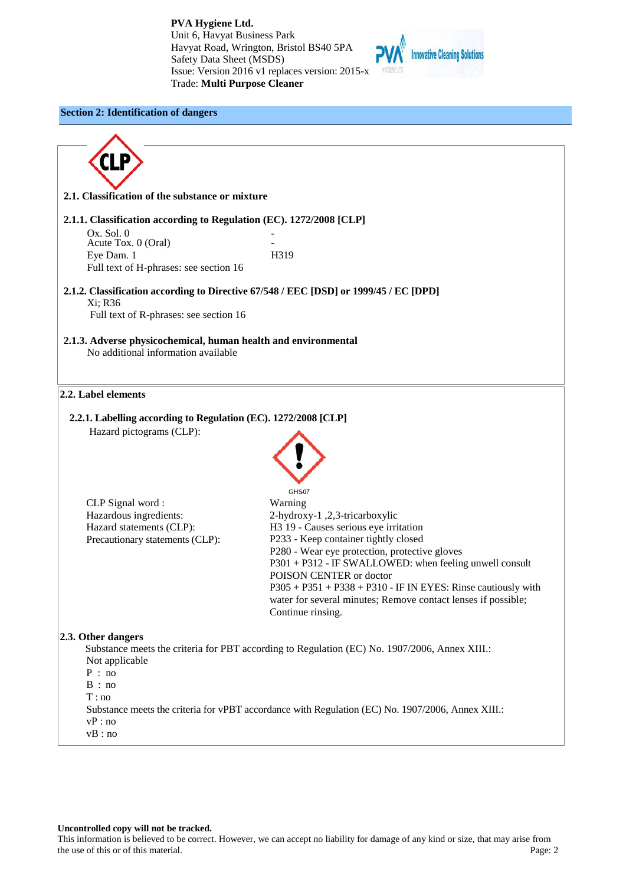

# **Section 2: Identification of dangers**

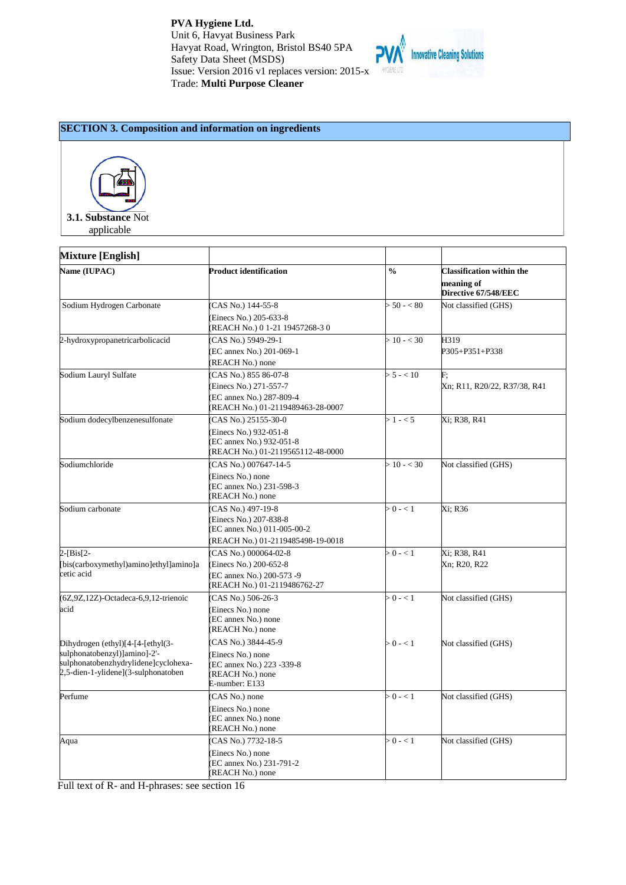

# **SECTION 3. Composition and information on ingredients**



applicable

| <b>Mixture [English]</b>                                                                                                                         |                                                                                                              |               |                                                                        |
|--------------------------------------------------------------------------------------------------------------------------------------------------|--------------------------------------------------------------------------------------------------------------|---------------|------------------------------------------------------------------------|
| Name (IUPAC)                                                                                                                                     | <b>Product identification</b>                                                                                | $\frac{0}{0}$ | <b>Classification within the</b><br>meaning of<br>Directive 67/548/EEC |
| Sodium Hydrogen Carbonate                                                                                                                        | CAS No.) 144-55-8<br>Einecs No.) 205-633-8<br>REACH No.) 0 1-21 19457268-3 0                                 | $> 50 - < 80$ | Not classified (GHS)                                                   |
| 2-hydroxypropanetricarbolicacid                                                                                                                  | CAS No.) 5949-29-1<br>EC annex No.) 201-069-1<br>(REACH No.) none                                            | $> 10 - < 30$ | H319<br>P305+P351+P338                                                 |
| Sodium Lauryl Sulfate                                                                                                                            | CAS No.) 855 86-07-8<br>Einecs No.) 271-557-7<br>EC annex No.) 287-809-4<br>REACH No.) 01-2119489463-28-0007 | $> 5 - < 10$  | F:<br>Xn; R11, R20/22, R37/38, R41                                     |
| Sodium dodecylbenzenesulfonate                                                                                                                   | CAS No.) 25155-30-0<br>Einecs No.) 932-051-8<br>EC annex No.) 932-051-8<br>REACH No.) 01-2119565112-48-0000  | $>1 - 5$      | Xi; R38, R41                                                           |
| Sodiumchloride                                                                                                                                   | CAS No.) 007647-14-5<br>Einecs No.) none<br>EC annex No.) 231-598-3<br>REACH No.) none                       | $> 10 - < 30$ | Not classified (GHS)                                                   |
| Sodium carbonate                                                                                                                                 | CAS No.) 497-19-8<br>Einecs No.) 207-838-8<br>EC annex No.) 011-005-00-2<br>REACH No.) 01-2119485498-19-0018 | $> 0 - 1$     | Xi: R36                                                                |
| $2 - [Bis[2 -]$<br>[bis(carboxymethyl)amino]ethyl]amino]a<br>cetic acid                                                                          | CAS No.) 000064-02-8<br>(Einecs No.) 200-652-8<br>EC annex No.) 200-573 -9<br>REACH No.) 01-2119486762-27    | $> 0 - 1$     | Xi; R38, R41<br>Xn; R20, R22                                           |
| (6Z,9Z,12Z)-Octadeca-6,9,12-trienoic<br>acid                                                                                                     | CAS No.) 506-26-3<br>Einecs No.) none<br>EC annex No.) none<br>REACH No.) none                               | $> 0 - 1$     | Not classified (GHS)                                                   |
| Dihydrogen (ethyl)[4-[4-[ethyl(3-<br>sulphonatobenzyl)]amino]-2'-<br>sulphonatobenzhydrylidene]cyclohexa-<br>2,5-dien-1-ylidene](3-sulphonatoben | CAS No.) 3844-45-9<br>Einecs No.) none<br>EC annex No.) 223 -339-8<br>(REACH No.) none<br>E-number: E133     | $>0$ - $< 1$  | Not classified (GHS)                                                   |
| Perfume                                                                                                                                          | CAS No.) none<br>Einecs No.) none<br>EC annex No.) none<br>(REACH No.) none                                  | $> 0 - 1$     | Not classified (GHS)                                                   |
| Aqua                                                                                                                                             | CAS No.) 7732-18-5<br>Einecs No.) none<br>EC annex No.) 231-791-2<br>(REACH No.) none                        | $> 0 - 1$     | Not classified (GHS)                                                   |

Full text of R- and H-phrases: see section 16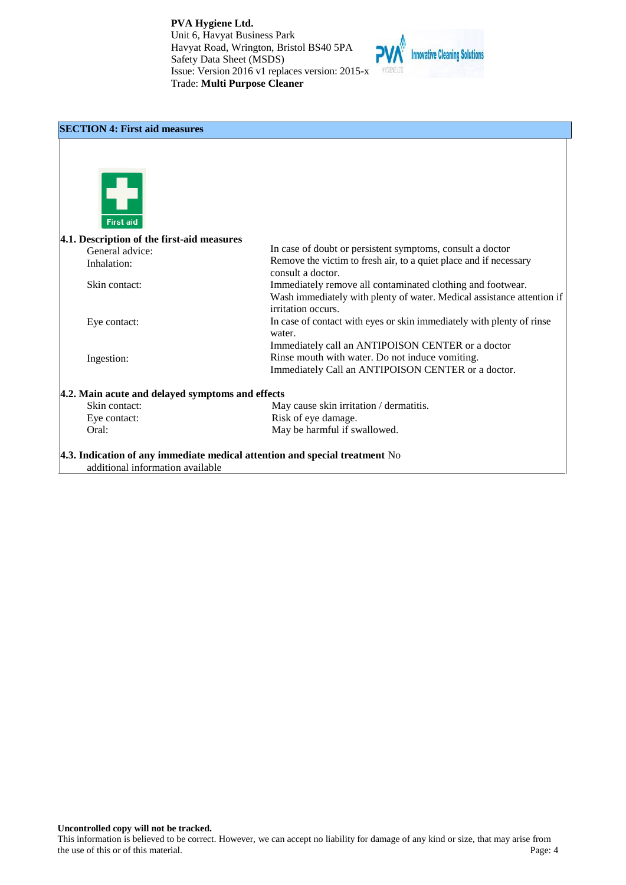

# **SECTION 4: First aid measures First aid 4.1. Description of the first-aid measures**  In case of doubt or persistent symptoms, consult a doctor General advice: Remove the victim to fresh air, to a quiet place and if necessary Inhalation: consult a doctor. Skin contact: Immediately remove all contaminated clothing and footwear. Wash immediately with plenty of water. Medical assistance attention if irritation occurs. In case of contact with eyes or skin immediately with plenty of rinse Eye contact: water. Immediately call an ANTIPOISON CENTER or a doctor Rinse mouth with water. Do not induce vomiting. Ingestion: Immediately Call an ANTIPOISON CENTER or a doctor. **4.2. Main acute and delayed symptoms and effects** Skin contact: May cause skin irritation / dermatitis. Eye contact: Risk of eye damage. Oral: May be harmful if swallowed. **4.3. Indication of any immediate medical attention and special treatment** No additional information available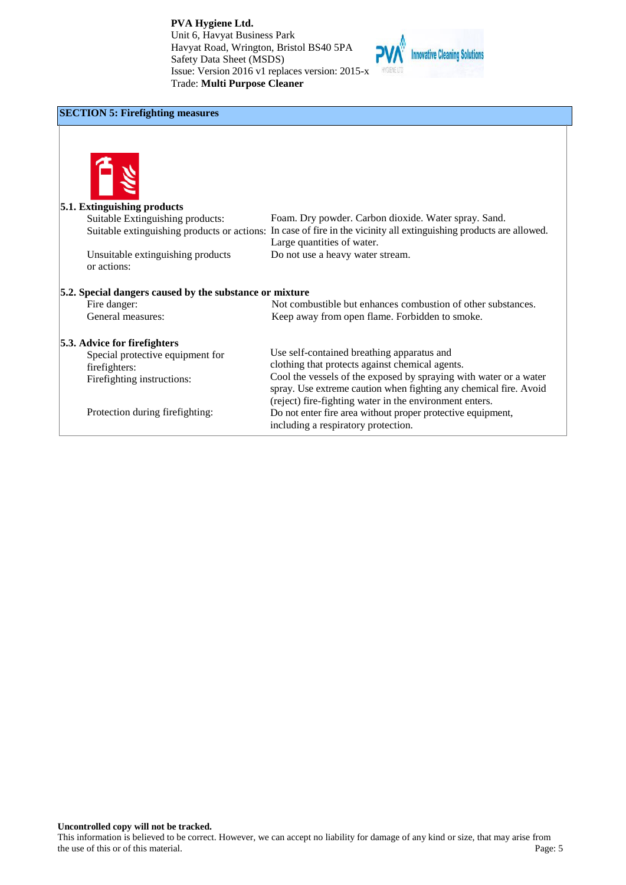

# **SECTION 5: Firefighting measures**



| <b>5.1. Extinguishing products</b>                      |                                                                                                                     |
|---------------------------------------------------------|---------------------------------------------------------------------------------------------------------------------|
| Suitable Extinguishing products:                        | Foam. Dry powder. Carbon dioxide. Water spray. Sand.                                                                |
|                                                         | Suitable extinguishing products or actions: In case of fire in the vicinity all extinguishing products are allowed. |
|                                                         | Large quantities of water.                                                                                          |
| Unsuitable extinguishing products                       | Do not use a heavy water stream.                                                                                    |
| or actions:                                             |                                                                                                                     |
|                                                         |                                                                                                                     |
| 5.2. Special dangers caused by the substance or mixture |                                                                                                                     |
| Fire danger:                                            | Not combustible but enhances combustion of other substances.                                                        |
| General measures:                                       | Keep away from open flame. Forbidden to smoke.                                                                      |
|                                                         |                                                                                                                     |
| 5.3. Advice for firefighters                            |                                                                                                                     |
| Special protective equipment for                        | Use self-contained breathing apparatus and                                                                          |
| firefighters:                                           | clothing that protects against chemical agents.                                                                     |
| Firefighting instructions:                              | Cool the vessels of the exposed by spraying with water or a water                                                   |
|                                                         | spray. Use extreme caution when fighting any chemical fire. Avoid                                                   |
|                                                         | (reject) fire-fighting water in the environment enters.                                                             |
| Protection during firefighting:                         | Do not enter fire area without proper protective equipment,                                                         |
|                                                         |                                                                                                                     |
|                                                         | including a respiratory protection.                                                                                 |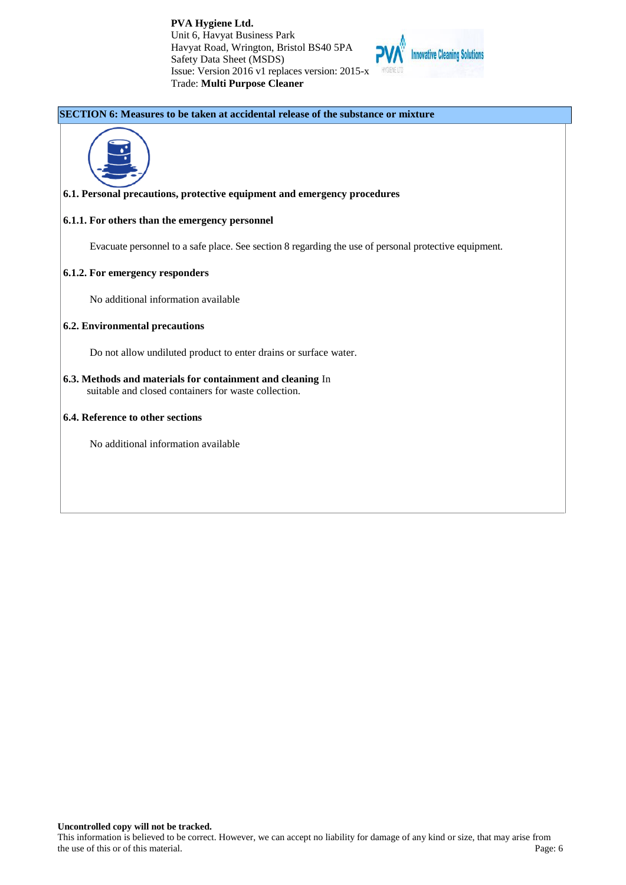

### **SECTION 6: Measures to be taken at accidental release of the substance or mixture**



### **6.1. Personal precautions, protective equipment and emergency procedures**

### **6.1.1. For others than the emergency personnel**

Evacuate personnel to a safe place. See section 8 regarding the use of personal protective equipment.

### **6.1.2. For emergency responders**

No additional information available

### **6.2. Environmental precautions**

Do not allow undiluted product to enter drains or surface water.

**6.3. Methods and materials for containment and cleaning** In suitable and closed containers for waste collection.

### **6.4. Reference to other sections**

No additional information available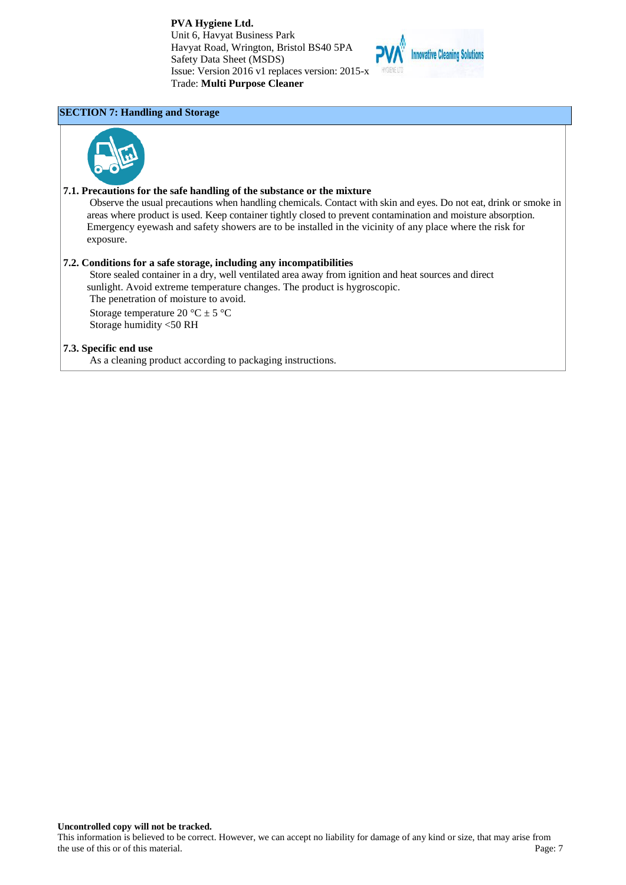

# **SECTION 7: Handling and Storage**



### **7.1. Precautions for the safe handling of the substance or the mixture**

Observe the usual precautions when handling chemicals. Contact with skin and eyes. Do not eat, drink or smoke in areas where product is used. Keep container tightly closed to prevent contamination and moisture absorption. Emergency eyewash and safety showers are to be installed in the vicinity of any place where the risk for exposure.

### **7.2. Conditions for a safe storage, including any incompatibilities**

Store sealed container in a dry, well ventilated area away from ignition and heat sources and direct sunlight. Avoid extreme temperature changes. The product is hygroscopic. The penetration of moisture to avoid.

Storage temperature 20 °C  $\pm$  5 °C Storage humidity <50 RH

### **7.3. Specific end use**

As a cleaning product according to packaging instructions.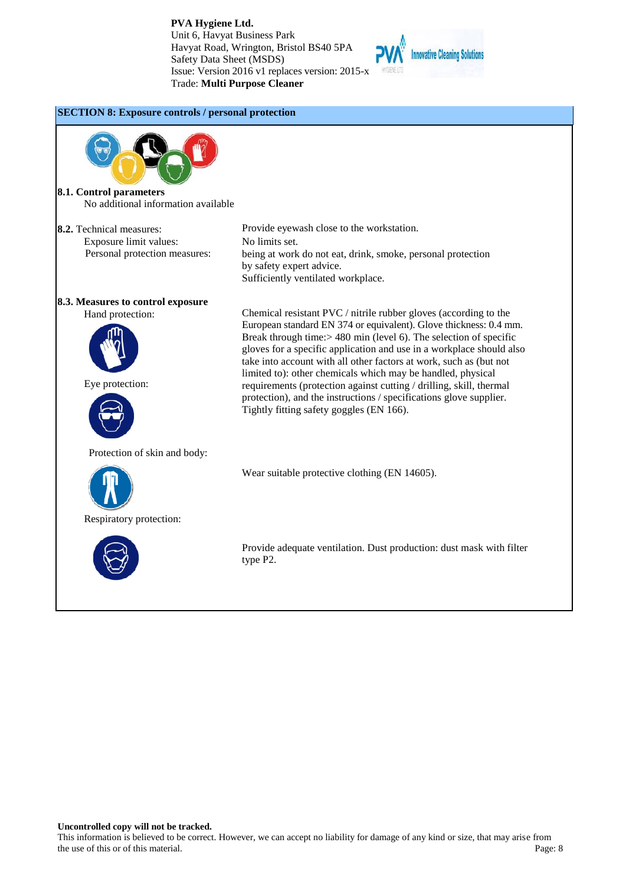

# **SECTION 8: Exposure controls / personal protection**

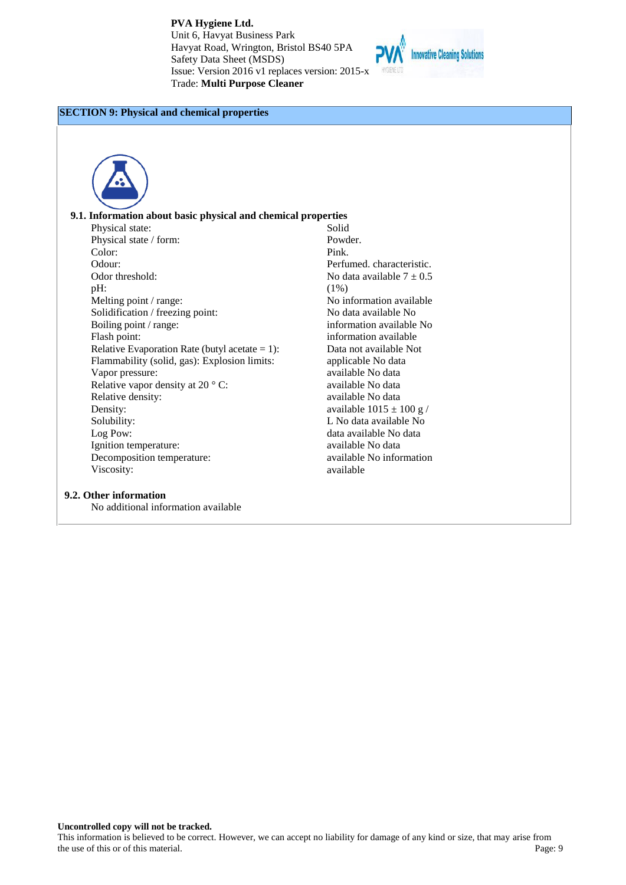

# **SECTION 9: Physical and chemical properties**



#### **9.1. Information about basic physical and chemical properties**

Physical state: Physical state / form: Color: Odour: Odor threshold: pH: Melting point / range: Solidification / freezing point: Boiling point / range: Flash point: Relative Evaporation Rate (butyl acetate  $= 1$ ): Flammability (solid, gas): Explosion limits: Vapor pressure: Relative vapor density at 20 ° C: Relative density: Density: Solubility: Log Pow: Ignition temperature: Decomposition temperature: Viscosity:

# **9.2. Other information**

No additional information available

Solid Powder. Pink. Perfumed. characteristic. No data available  $7 \pm 0.5$ (1%) No information available No data available No information available No information available Data not available Not applicable No data available No data available No data available No data available  $1015 \pm 100$  g / L No data available No data available No data available No data available No information available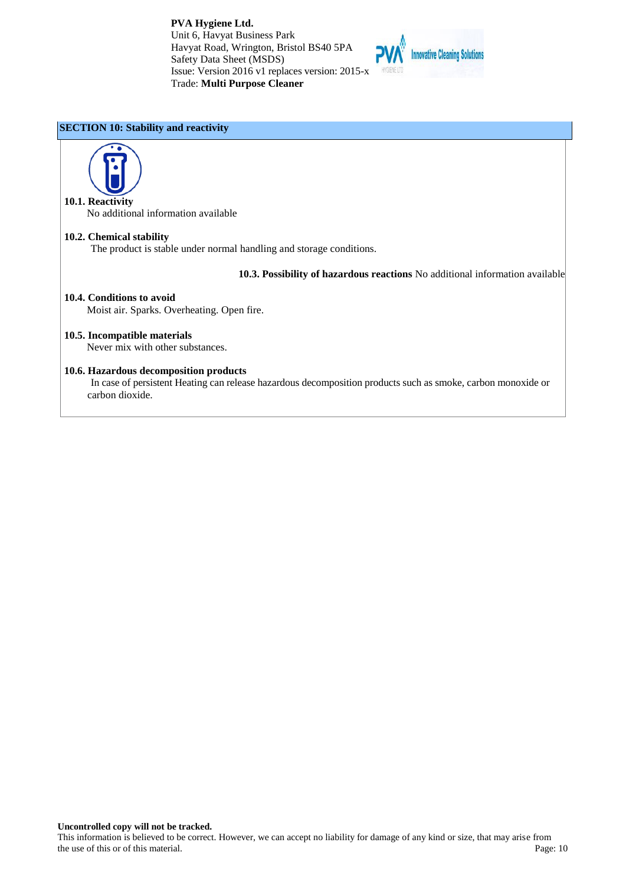

### **SECTION 10: Stability and reactivity**



No additional information available

# **10.2. Chemical stability**

The product is stable under normal handling and storage conditions.

**10.3. Possibility of hazardous reactions** No additional information available

### **10.4. Conditions to avoid**

Moist air. Sparks. Overheating. Open fire.

**10.5. Incompatible materials** Never mix with other substances.

### **10.6. Hazardous decomposition products**

In case of persistent Heating can release hazardous decomposition products such as smoke, carbon monoxide or carbon dioxide.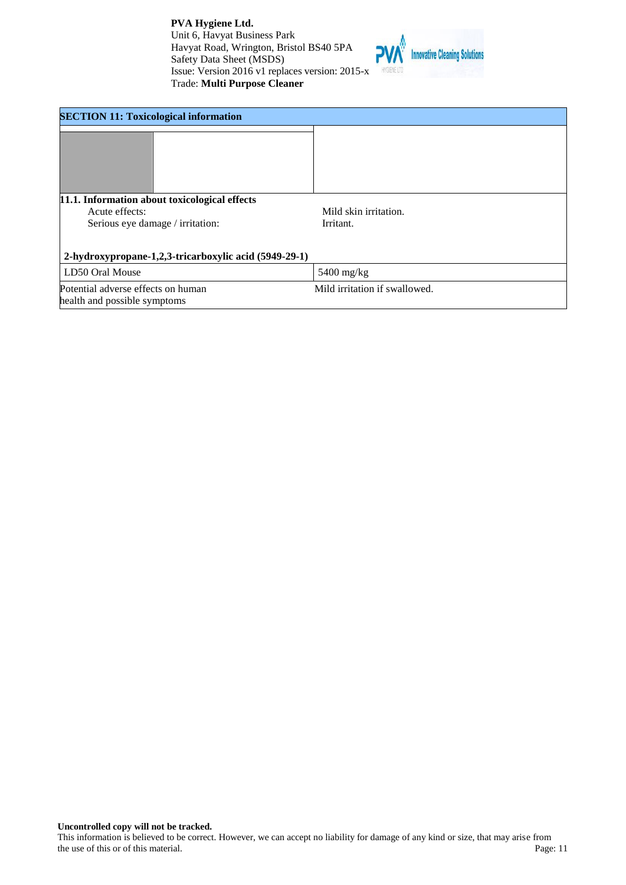

| <b>SECTION 11: Toxicological information</b>                                                        |                                    |  |
|-----------------------------------------------------------------------------------------------------|------------------------------------|--|
|                                                                                                     |                                    |  |
| 11.1. Information about toxicological effects<br>Acute effects:<br>Serious eye damage / irritation: | Mild skin irritation.<br>Irritant. |  |
| 2-hydroxypropane-1,2,3-tricarboxylic acid (5949-29-1)                                               |                                    |  |
| LD50 Oral Mouse                                                                                     | $5400$ mg/kg                       |  |
| Mild irritation if swallowed.<br>Potential adverse effects on human<br>health and possible symptoms |                                    |  |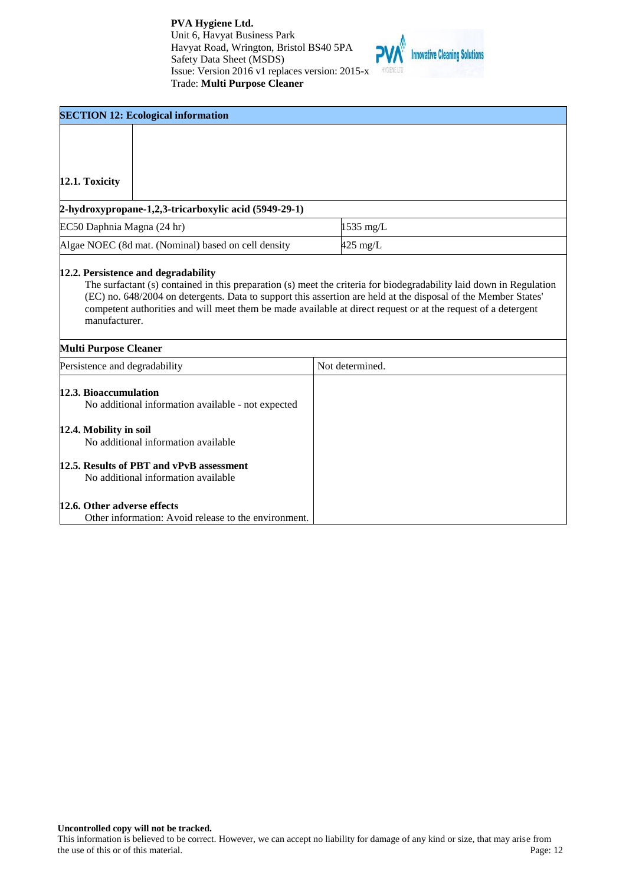

| <b>SECTION 12: Ecological information</b>                                                                                                    |                                                                                                               |  |
|----------------------------------------------------------------------------------------------------------------------------------------------|---------------------------------------------------------------------------------------------------------------|--|
|                                                                                                                                              |                                                                                                               |  |
| 12.1. Toxicity                                                                                                                               |                                                                                                               |  |
| 2-hydroxypropane-1,2,3-tricarboxylic acid (5949-29-1)                                                                                        |                                                                                                               |  |
| EC50 Daphnia Magna (24 hr)                                                                                                                   | 1535 mg/L                                                                                                     |  |
| Algae NOEC (8d mat. (Nominal) based on cell density                                                                                          | $425$ mg/L                                                                                                    |  |
| manufacturer.<br><b>Multi Purpose Cleaner</b>                                                                                                | competent authorities and will meet them be made available at direct request or at the request of a detergent |  |
| Persistence and degradability                                                                                                                | Not determined.                                                                                               |  |
| 12.3. Bioaccumulation<br>No additional information available - not expected<br>12.4. Mobility in soil<br>No additional information available |                                                                                                               |  |
| 12.5. Results of PBT and vPvB assessment<br>No additional information available                                                              |                                                                                                               |  |
| 12.6. Other adverse effects                                                                                                                  |                                                                                                               |  |

Other information: Avoid release to the environment.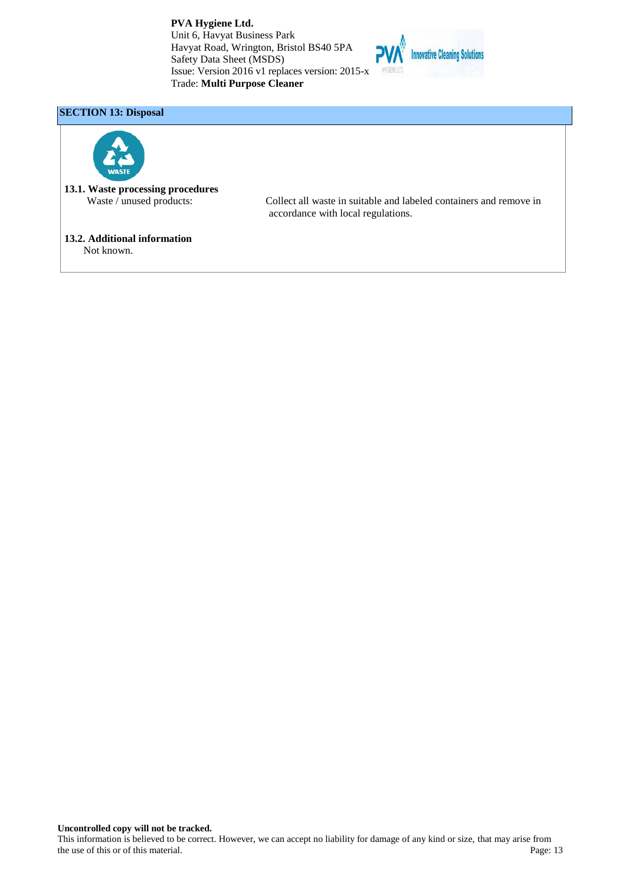

# **SECTION 13: Disposal**



**13.1. Waste processing procedures**<br>Waste / unused products:

Collect all waste in suitable and labeled containers and remove in accordance with local regulations.

# **13.2. Additional information**

Not known.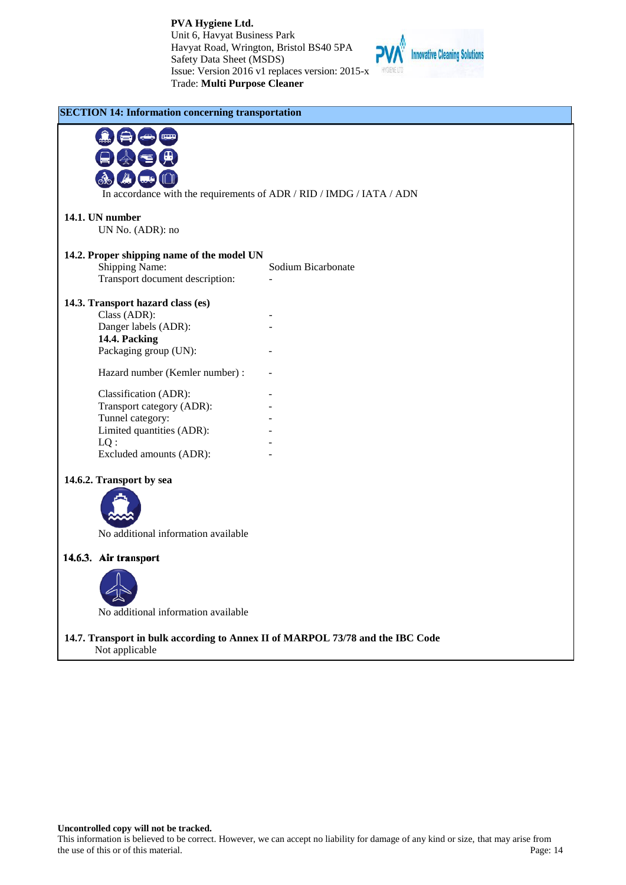

|                                            | In accordance with the requirements of ADR / RID / IMDG / IATA / ADN |
|--------------------------------------------|----------------------------------------------------------------------|
| 14.1. UN number<br>UN No. (ADR): no        |                                                                      |
|                                            |                                                                      |
| 14.2. Proper shipping name of the model UN |                                                                      |
| Shipping Name:                             | Sodium Bicarbonate                                                   |
| Transport document description:            | $\overline{a}$                                                       |
| 14.3. Transport hazard class (es)          |                                                                      |
| Class (ADR):                               |                                                                      |
| Danger labels (ADR):                       |                                                                      |
| 14.4. Packing                              |                                                                      |
| Packaging group (UN):                      |                                                                      |
| Hazard number (Kemler number):             |                                                                      |
| Classification (ADR):                      |                                                                      |
| Transport category (ADR):                  |                                                                      |
| Tunnel category:                           |                                                                      |
| Limited quantities (ADR):                  |                                                                      |
| $LQ$ :                                     |                                                                      |
| Excluded amounts (ADR):                    |                                                                      |
| 14.6.2. Transport by sea                   |                                                                      |
|                                            |                                                                      |
|                                            |                                                                      |
|                                            |                                                                      |
| No additional information available        |                                                                      |
| 14.6.3. Air transport                      |                                                                      |
|                                            |                                                                      |
| No additional information available        |                                                                      |
|                                            |                                                                      |

**Uncontrolled copy will not be tracked.** This information is believed to be correct. However, we can accept no liability for damage of any kind or size, that may arise from the use of this or of this material.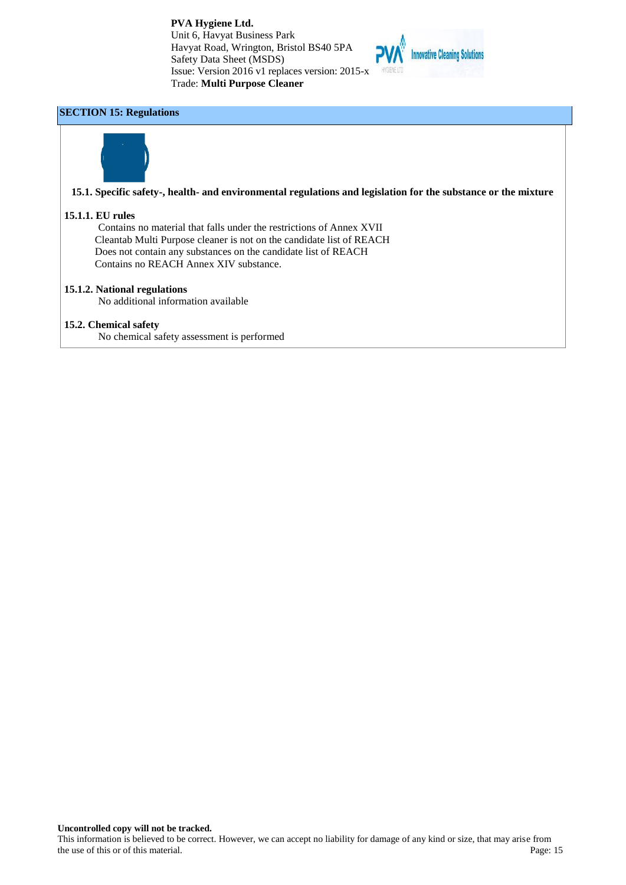

# **SECTION 15: Regulations**



### **15.1. Specific safety-, health- and environmental regulations and legislation for the substance or the mixture**

### **15.1.1. EU rules**

Contains no material that falls under the restrictions of Annex XVII Cleantab Multi Purpose cleaner is not on the candidate list of REACH Does not contain any substances on the candidate list of REACH Contains no REACH Annex XIV substance.

### **15.1.2. National regulations**

No additional information available

# **15.2. Chemical safety**

No chemical safety assessment is performed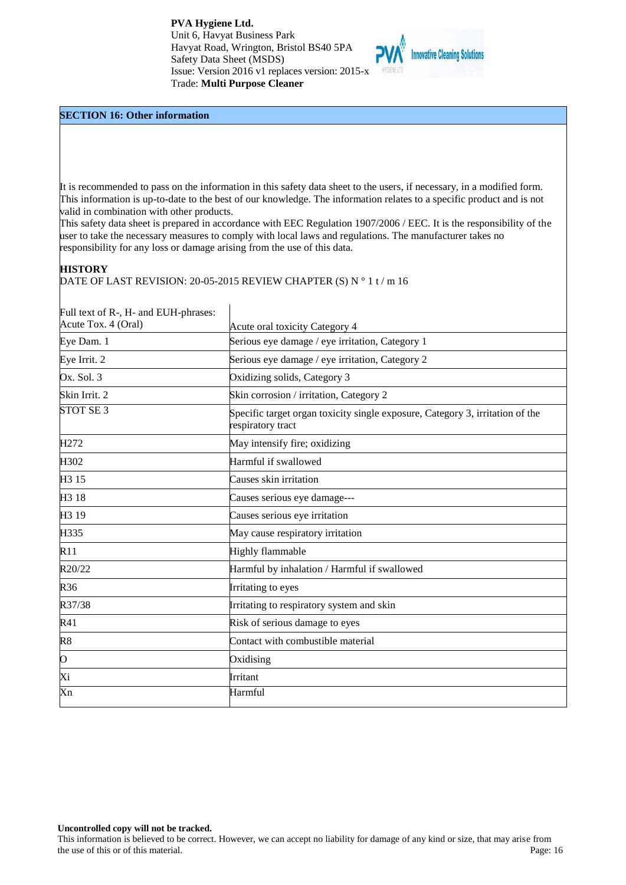

#### **SECTION 16: Other information**

It is recommended to pass on the information in this safety data sheet to the users, if necessary, in a modified form. This information is up-to-date to the best of our knowledge. The information relates to a specific product and is not valid in combination with other products.

This safety data sheet is prepared in accordance with EEC Regulation 1907/2006 / EEC. It is the responsibility of the user to take the necessary measures to comply with local laws and regulations. The manufacturer takes no responsibility for any loss or damage arising from the use of this data.

# **HISTORY**

DATE OF LAST REVISION: 20-05-2015 REVIEW CHAPTER (S) N ° 1 t / m 16

| Full text of R-, H- and EUH-phrases: |                                                                                                    |
|--------------------------------------|----------------------------------------------------------------------------------------------------|
| Acute Tox. 4 (Oral)                  | Acute oral toxicity Category 4                                                                     |
| Eye Dam. 1                           | Serious eye damage / eye irritation, Category 1                                                    |
| Eye Irrit. 2                         | Serious eye damage / eye irritation, Category 2                                                    |
| Ox. Sol. 3                           | Oxidizing solids, Category 3                                                                       |
| Skin Irrit. 2                        | Skin corrosion / irritation, Category 2                                                            |
| STOT SE <sub>3</sub>                 | Specific target organ toxicity single exposure, Category 3, irritation of the<br>respiratory tract |
| H <sub>272</sub>                     | May intensify fire; oxidizing                                                                      |
| H302                                 | Harmful if swallowed                                                                               |
| H <sub>3</sub> 15                    | Causes skin irritation                                                                             |
| H <sub>3</sub> 18                    | Causes serious eye damage---                                                                       |
| H <sub>3</sub> 19                    | Causes serious eye irritation                                                                      |
| H335                                 | May cause respiratory irritation                                                                   |
| R11                                  | Highly flammable                                                                                   |
| R20/22                               | Harmful by inhalation / Harmful if swallowed                                                       |
| R36                                  | Irritating to eyes                                                                                 |
| R37/38                               | Irritating to respiratory system and skin                                                          |
| R41                                  | Risk of serious damage to eyes                                                                     |
| R8                                   | Contact with combustible material                                                                  |
| $\circ$                              | Oxidising                                                                                          |
| Xi                                   | Irritant                                                                                           |
| Xn                                   | Harmful                                                                                            |